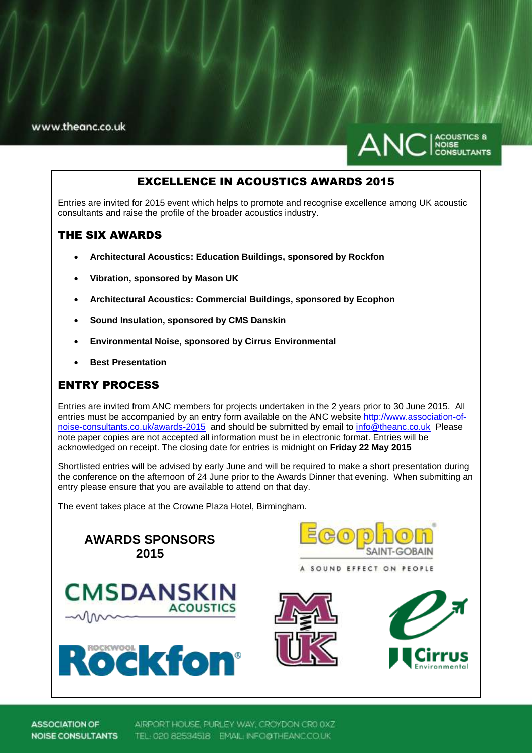www.theanc.co.uk



# EXCELLENCE IN ACOUSTICS AWARDS 2015

Entries are invited for 2015 event which helps to promote and recognise excellence among UK acoustic consultants and raise the profile of the broader acoustics industry.

## THE SIX AWARDS

- **Architectural Acoustics: Education Buildings, sponsored by Rockfon**
- **Vibration, sponsored by Mason UK**
- **Architectural Acoustics: Commercial Buildings, sponsored by Ecophon**
- **Sound Insulation, sponsored by CMS Danskin**
- **Environmental Noise, sponsored by Cirrus Environmental**
- **Best Presentation**

# ENTRY PROCESS

Entries are invited from ANC members for projects undertaken in the 2 years prior to 30 June 2015. All entries must be accompanied by an entry form available on the ANC websit[e http://www.association-of](http://www.association-of-noise-consultants.co.uk/awards-2015)[noise-consultants.co.uk/awards-2015](http://www.association-of-noise-consultants.co.uk/awards-2015) and should be submitted by email to [info@theanc.co.uk](mailto:info@theanc.co.uk) Please note paper copies are not accepted all information must be in electronic format. Entries will be acknowledged on receipt. The closing date for entries is midnight on **Friday 22 May 2015**

Shortlisted entries will be advised by early June and will be required to make a short presentation during the conference on the afternoon of 24 June prior to the Awards Dinner that evening. When submitting an entry please ensure that you are available to attend on that day.

The event takes place at the Crowne Plaza Hotel, Birmingham.